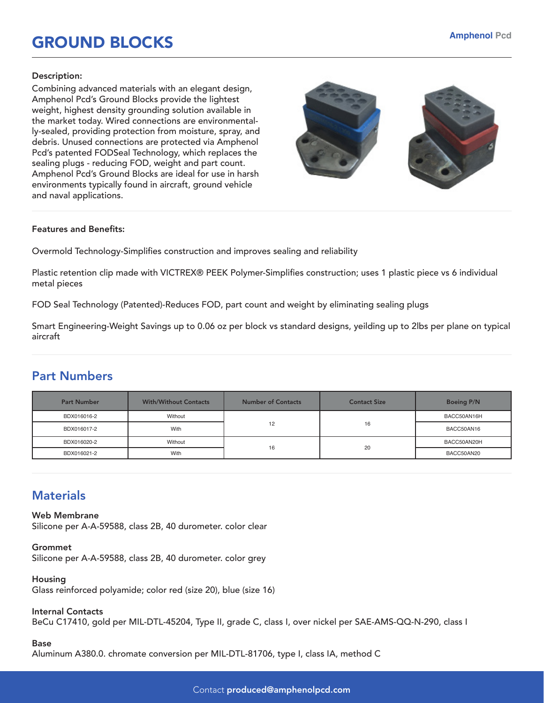# GROUND BLOCKS

#### Description:

Combining advanced materials with an elegant design, Amphenol Pcd's Ground Blocks provide the lightest weight, highest density grounding solution available in the market today. Wired connections are environmentally-sealed, providing protection from moisture, spray, and debris. Unused connections are protected via Amphenol Pcd's patented FODSeal Technology, which replaces the sealing plugs - reducing FOD, weight and part count. Amphenol Pcd's Ground Blocks are ideal for use in harsh environments typically found in aircraft, ground vehicle and naval applications.



### Features and Benefits:

Overmold Technology-Simplifies construction and improves sealing and reliability

Plastic retention clip made with VICTREX® PEEK Polymer-Simplifies construction; uses 1 plastic piece vs 6 individual metal pieces

FOD Seal Technology (Patented)-Reduces FOD, part count and weight by eliminating sealing plugs

Smart Engineering-Weight Savings up to 0.06 oz per block vs standard designs, yeilding up to 2lbs per plane on typical aircraft

## Part Numbers

| <b>Part Number</b> | <b>With/Without Contacts</b> | <b>Number of Contacts</b> | <b>Contact Size</b> | <b>Boeing P/N</b> |
|--------------------|------------------------------|---------------------------|---------------------|-------------------|
| BDX016016-2        | Without                      | 12                        | 16                  | BACC50AN16H       |
| BDX016017-2        | With                         |                           |                     | BACC50AN16        |
| BDX016020-2        | Without                      | 16                        | 20                  | BACC50AN20H       |
| BDX016021-2        | With                         |                           |                     | BACC50AN20        |

## **Materials**

Web Membrane Silicone per A-A-59588, class 2B, 40 durometer. color clear

Grommet Silicone per A-A-59588, class 2B, 40 durometer. color grey

Housing Glass reinforced polyamide; color red (size 20), blue (size 16)

#### Internal Contacts

BeCu C17410, gold per MIL-DTL-45204, Type II, grade C, class I, over nickel per SAE-AMS-QQ-N-290, class I

#### Base

Aluminum A380.0. chromate conversion per MIL-DTL-81706, type I, class IA, method C